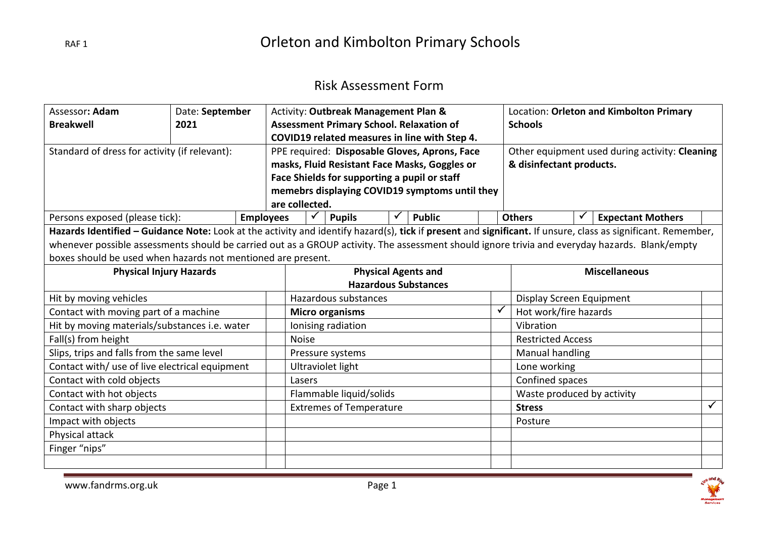#### Risk Assessment Form

| Assessor: Adam                                                                                                                                               | Date: September |                  | Activity: Outbreak Management Plan &            |  |                                              |  |                                               |                | Location: Orleton and Kimbolton Primary |                            |  |                                                |  |
|--------------------------------------------------------------------------------------------------------------------------------------------------------------|-----------------|------------------|-------------------------------------------------|--|----------------------------------------------|--|-----------------------------------------------|----------------|-----------------------------------------|----------------------------|--|------------------------------------------------|--|
| <b>Breakwell</b>                                                                                                                                             | 2021            |                  | <b>Assessment Primary School. Relaxation of</b> |  |                                              |  |                                               | <b>Schools</b> |                                         |                            |  |                                                |  |
|                                                                                                                                                              |                 |                  |                                                 |  |                                              |  | COVID19 related measures in line with Step 4. |                |                                         |                            |  |                                                |  |
| Standard of dress for activity (if relevant):                                                                                                                |                 |                  |                                                 |  |                                              |  | PPE required: Disposable Gloves, Aprons, Face |                |                                         |                            |  | Other equipment used during activity: Cleaning |  |
|                                                                                                                                                              |                 |                  |                                                 |  |                                              |  | masks, Fluid Resistant Face Masks, Goggles or |                |                                         | & disinfectant products.   |  |                                                |  |
|                                                                                                                                                              |                 |                  |                                                 |  | Face Shields for supporting a pupil or staff |  |                                               |                |                                         |                            |  |                                                |  |
|                                                                                                                                                              |                 |                  | memebrs displaying COVID19 symptoms until they  |  |                                              |  |                                               |                |                                         |                            |  |                                                |  |
|                                                                                                                                                              |                 |                  | are collected.                                  |  |                                              |  |                                               |                |                                         |                            |  |                                                |  |
| Persons exposed (please tick):                                                                                                                               |                 | <b>Employees</b> |                                                 |  | <b>Pupils</b>                                |  | <b>Public</b>                                 |                |                                         | <b>Others</b>              |  | <b>Expectant Mothers</b>                       |  |
| Hazards Identified - Guidance Note: Look at the activity and identify hazard(s), tick if present and significant. If unsure, class as significant. Remember, |                 |                  |                                                 |  |                                              |  |                                               |                |                                         |                            |  |                                                |  |
| whenever possible assessments should be carried out as a GROUP activity. The assessment should ignore trivia and everyday hazards. Blank/empty               |                 |                  |                                                 |  |                                              |  |                                               |                |                                         |                            |  |                                                |  |
| boxes should be used when hazards not mentioned are present.                                                                                                 |                 |                  |                                                 |  |                                              |  |                                               |                |                                         |                            |  |                                                |  |
| <b>Physical Injury Hazards</b>                                                                                                                               |                 |                  | <b>Physical Agents and</b>                      |  |                                              |  |                                               |                | <b>Miscellaneous</b>                    |                            |  |                                                |  |
|                                                                                                                                                              |                 |                  | <b>Hazardous Substances</b>                     |  |                                              |  |                                               |                |                                         |                            |  |                                                |  |
| Hit by moving vehicles                                                                                                                                       |                 |                  | Hazardous substances                            |  |                                              |  |                                               |                | Display Screen Equipment                |                            |  |                                                |  |
| Contact with moving part of a machine                                                                                                                        |                 |                  | <b>Micro organisms</b>                          |  |                                              |  |                                               | $\checkmark$   | Hot work/fire hazards                   |                            |  |                                                |  |
| Hit by moving materials/substances i.e. water                                                                                                                |                 |                  | Ionising radiation                              |  |                                              |  |                                               |                | Vibration                               |                            |  |                                                |  |
| Fall(s) from height                                                                                                                                          |                 |                  | <b>Noise</b>                                    |  |                                              |  |                                               |                | <b>Restricted Access</b>                |                            |  |                                                |  |
| Slips, trips and falls from the same level                                                                                                                   |                 |                  | Pressure systems                                |  |                                              |  |                                               |                | Manual handling                         |                            |  |                                                |  |
| Contact with/ use of live electrical equipment                                                                                                               |                 |                  | Ultraviolet light                               |  |                                              |  |                                               |                | Lone working                            |                            |  |                                                |  |
| Contact with cold objects                                                                                                                                    |                 |                  | Lasers                                          |  |                                              |  |                                               |                | Confined spaces                         |                            |  |                                                |  |
| Contact with hot objects                                                                                                                                     |                 |                  |                                                 |  | Flammable liquid/solids                      |  |                                               |                |                                         | Waste produced by activity |  |                                                |  |
| Contact with sharp objects                                                                                                                                   |                 |                  | <b>Extremes of Temperature</b>                  |  |                                              |  |                                               | <b>Stress</b>  |                                         |                            |  |                                                |  |
| Impact with objects                                                                                                                                          |                 |                  |                                                 |  |                                              |  |                                               | Posture        |                                         |                            |  |                                                |  |
| Physical attack                                                                                                                                              |                 |                  |                                                 |  |                                              |  |                                               |                |                                         |                            |  |                                                |  |
| Finger "nips"                                                                                                                                                |                 |                  |                                                 |  |                                              |  |                                               |                |                                         |                            |  |                                                |  |
|                                                                                                                                                              |                 |                  |                                                 |  |                                              |  |                                               |                |                                         |                            |  |                                                |  |

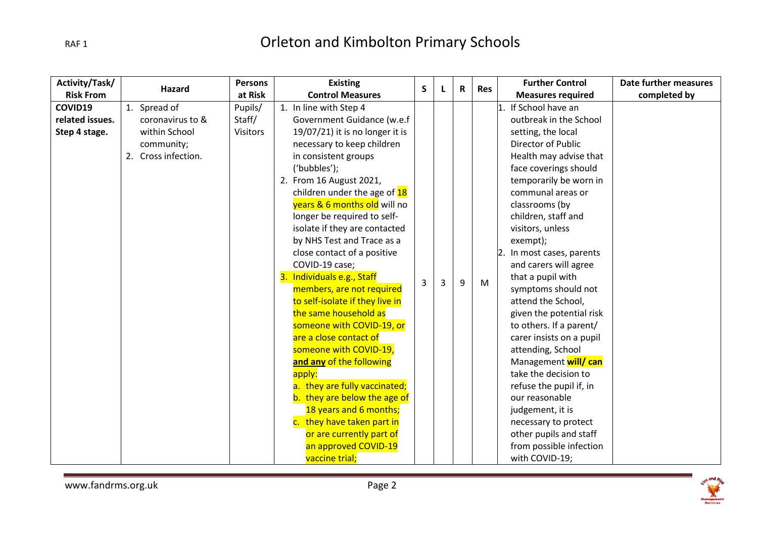| Activity/Task/   | <b>Hazard</b>       | Persons         | <b>Existing</b>                    | S |   | $\mathbf R$ | <b>Res</b> | <b>Further Control</b>     | Date further measures |
|------------------|---------------------|-----------------|------------------------------------|---|---|-------------|------------|----------------------------|-----------------------|
| <b>Risk From</b> |                     | at Risk         | <b>Control Measures</b>            |   |   |             |            | <b>Measures required</b>   | completed by          |
| COVID19          | 1. Spread of        | Pupils/         | 1. In line with Step 4             |   |   |             |            | If School have an          |                       |
| related issues.  | coronavirus to &    | Staff/          | Government Guidance (w.e.f         |   |   |             |            | outbreak in the School     |                       |
| Step 4 stage.    | within School       | <b>Visitors</b> | $19/07/21$ ) it is no longer it is |   |   |             |            | setting, the local         |                       |
|                  | community;          |                 | necessary to keep children         |   |   |             |            | Director of Public         |                       |
|                  | 2. Cross infection. |                 | in consistent groups               |   |   |             |            | Health may advise that     |                       |
|                  |                     |                 | ('bubbles');                       |   |   |             |            | face coverings should      |                       |
|                  |                     |                 | 2. From 16 August 2021,            |   |   |             |            | temporarily be worn in     |                       |
|                  |                     |                 | children under the age of 18       |   |   |             |            | communal areas or          |                       |
|                  |                     |                 | years & 6 months old will no       |   |   |             |            | classrooms (by             |                       |
|                  |                     |                 | longer be required to self-        |   |   |             |            | children, staff and        |                       |
|                  |                     |                 | isolate if they are contacted      |   |   |             |            | visitors, unless           |                       |
|                  |                     |                 | by NHS Test and Trace as a         |   |   |             |            | exempt);                   |                       |
|                  |                     |                 | close contact of a positive        |   |   |             |            | 2. In most cases, parents  |                       |
|                  |                     |                 | COVID-19 case;                     |   |   |             |            | and carers will agree      |                       |
|                  |                     |                 | 3. Individuals e.g., Staff         | 3 | 3 | 9           | M          | that a pupil with          |                       |
|                  |                     |                 | members, are not required          |   |   |             |            | symptoms should not        |                       |
|                  |                     |                 | to self-isolate if they live in    |   |   |             |            | attend the School,         |                       |
|                  |                     |                 | the same household as              |   |   |             |            | given the potential risk   |                       |
|                  |                     |                 | someone with COVID-19, or          |   |   |             |            | to others. If a parent/    |                       |
|                  |                     |                 | are a close contact of             |   |   |             |            | carer insists on a pupil   |                       |
|                  |                     |                 | someone with COVID-19,             |   |   |             |            | attending, School          |                       |
|                  |                     |                 | and any of the following           |   |   |             |            | Management <b>will/can</b> |                       |
|                  |                     |                 | apply:                             |   |   |             |            | take the decision to       |                       |
|                  |                     |                 | a. they are fully vaccinated;      |   |   |             |            | refuse the pupil if, in    |                       |
|                  |                     |                 | b. they are below the age of       |   |   |             |            | our reasonable             |                       |
|                  |                     |                 | 18 years and 6 months;             |   |   |             |            | judgement, it is           |                       |
|                  |                     |                 | c. they have taken part in         |   |   |             |            | necessary to protect       |                       |
|                  |                     |                 | or are currently part of           |   |   |             |            | other pupils and staff     |                       |
|                  |                     |                 | an approved COVID-19               |   |   |             |            | from possible infection    |                       |
|                  |                     |                 | vaccine trial;                     |   |   |             |            | with COVID-19;             |                       |

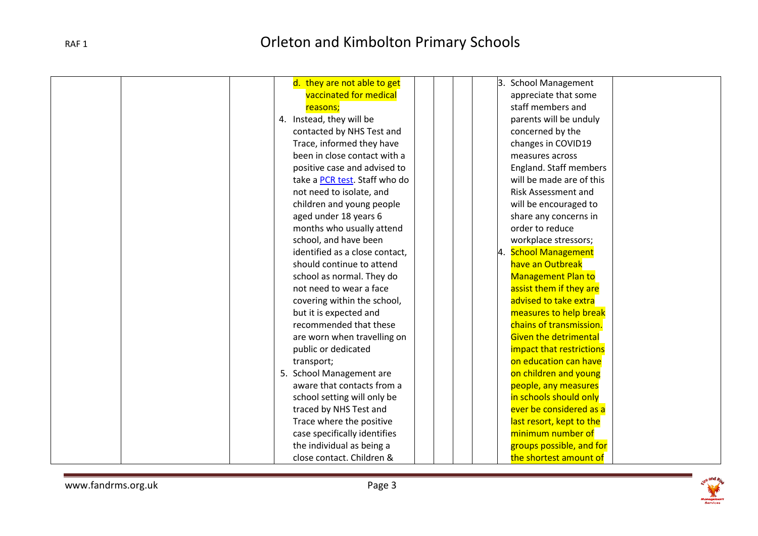| d. they are not able to get    | <b>School Management</b><br>$\mathsf B$ . |
|--------------------------------|-------------------------------------------|
| vaccinated for medical         | appreciate that some                      |
| reasons;                       | staff members and                         |
| 4. Instead, they will be       | parents will be unduly                    |
| contacted by NHS Test and      | concerned by the                          |
| Trace, informed they have      | changes in COVID19                        |
| been in close contact with a   | measures across                           |
| positive case and advised to   | England. Staff members                    |
| take a PCR test. Staff who do  | will be made are of this                  |
| not need to isolate, and       | <b>Risk Assessment and</b>                |
| children and young people      | will be encouraged to                     |
| aged under 18 years 6          | share any concerns in                     |
| months who usually attend      | order to reduce                           |
| school, and have been          | workplace stressors;                      |
| identified as a close contact, | 4. School Management                      |
| should continue to attend      | have an Outbreak                          |
| school as normal. They do      | <b>Management Plan to</b>                 |
| not need to wear a face        | assist them if they are                   |
| covering within the school,    | advised to take extra                     |
| but it is expected and         | measures to help break                    |
| recommended that these         | chains of transmission.                   |
| are worn when travelling on    | <b>Given the detrimental</b>              |
| public or dedicated            | impact that restrictions                  |
| transport;                     | on education can have                     |
| 5. School Management are       | on children and young                     |
| aware that contacts from a     | people, any measures                      |
| school setting will only be    | in schools should only                    |
| traced by NHS Test and         | ever be considered as a                   |
| Trace where the positive       | last resort, kept to the                  |
| case specifically identifies   | minimum number of                         |
| the individual as being a      | groups possible, and for                  |
| close contact. Children &      | the shortest amount of                    |

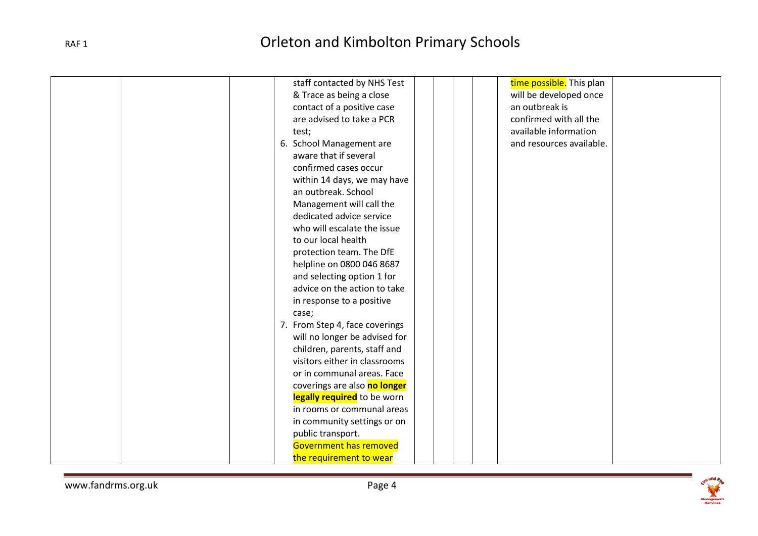| staff contacted by NHS Test    | time possible. This plan |
|--------------------------------|--------------------------|
| & Trace as being a close       | will be developed once   |
| contact of a positive case     | an outbreak is           |
| are advised to take a PCR      | confirmed with all the   |
| test;                          | available information    |
| 6. School Management are       | and resources available. |
| aware that if several          |                          |
| confirmed cases occur          |                          |
| within 14 days, we may have    |                          |
| an outbreak. School            |                          |
| Management will call the       |                          |
| dedicated advice service       |                          |
| who will escalate the issue    |                          |
| to our local health            |                          |
| protection team. The DfE       |                          |
| helpline on 0800 046 8687      |                          |
| and selecting option 1 for     |                          |
| advice on the action to take   |                          |
| in response to a positive      |                          |
| case;                          |                          |
| 7. From Step 4, face coverings |                          |
| will no longer be advised for  |                          |
| children, parents, staff and   |                          |
| visitors either in classrooms  |                          |
| or in communal areas. Face     |                          |
| coverings are also no longer   |                          |
| legally required to be worn    |                          |
| in rooms or communal areas     |                          |
| in community settings or on    |                          |
| public transport.              |                          |
| Government has removed         |                          |
| the requirement to wear        |                          |

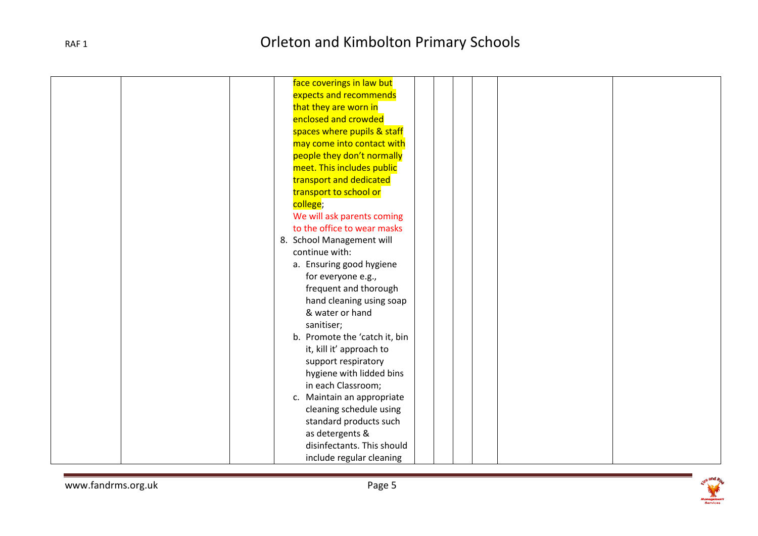|  | face coverings in law but     |
|--|-------------------------------|
|  | expects and recommends        |
|  | that they are worn in         |
|  | enclosed and crowded          |
|  | spaces where pupils & staff   |
|  | may come into contact with    |
|  | people they don't normally    |
|  | meet. This includes public    |
|  | transport and dedicated       |
|  | transport to school or        |
|  | college;                      |
|  | We will ask parents coming    |
|  | to the office to wear masks   |
|  | 8. School Management will     |
|  | continue with:                |
|  | a. Ensuring good hygiene      |
|  | for everyone e.g.,            |
|  | frequent and thorough         |
|  | hand cleaning using soap      |
|  | & water or hand               |
|  | sanitiser;                    |
|  | b. Promote the 'catch it, bin |
|  | it, kill it' approach to      |
|  | support respiratory           |
|  | hygiene with lidded bins      |
|  | in each Classroom;            |
|  | c. Maintain an appropriate    |
|  | cleaning schedule using       |
|  | standard products such        |
|  | as detergents &               |
|  | disinfectants. This should    |
|  | include regular cleaning      |

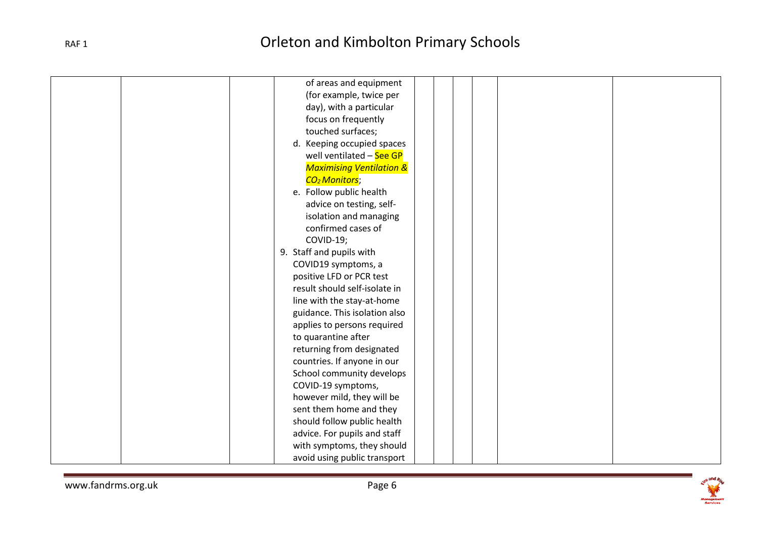|  | of areas and equipment              |
|--|-------------------------------------|
|  | (for example, twice per             |
|  | day), with a particular             |
|  | focus on frequently                 |
|  | touched surfaces;                   |
|  | d. Keeping occupied spaces          |
|  | well ventilated - See GP            |
|  | <b>Maximising Ventilation &amp;</b> |
|  | CO <sub>2</sub> Monitors;           |
|  | e. Follow public health             |
|  | advice on testing, self-            |
|  | isolation and managing              |
|  | confirmed cases of                  |
|  | COVID-19;                           |
|  | 9. Staff and pupils with            |
|  | COVID19 symptoms, a                 |
|  | positive LFD or PCR test            |
|  | result should self-isolate in       |
|  | line with the stay-at-home          |
|  | guidance. This isolation also       |
|  | applies to persons required         |
|  | to quarantine after                 |
|  | returning from designated           |
|  | countries. If anyone in our         |
|  | School community develops           |
|  | COVID-19 symptoms,                  |
|  | however mild, they will be          |
|  | sent them home and they             |
|  | should follow public health         |
|  | advice. For pupils and staff        |
|  | with symptoms, they should          |
|  | avoid using public transport        |

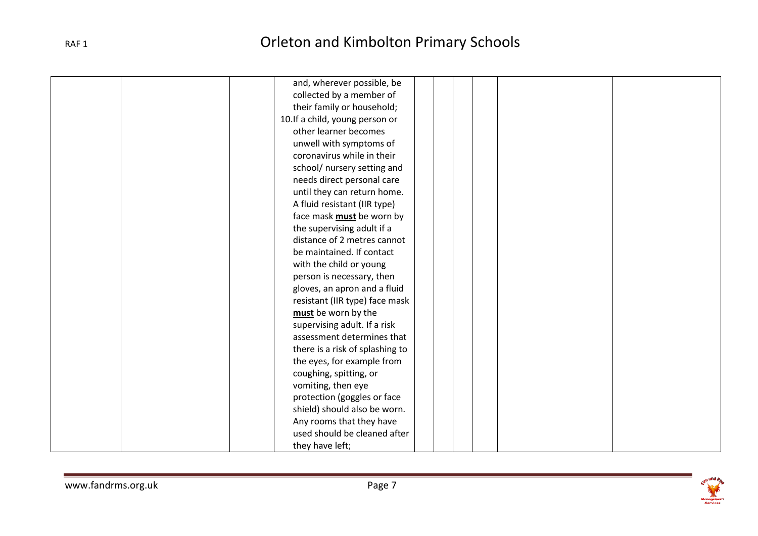| and, wherever possible, be      |  |
|---------------------------------|--|
| collected by a member of        |  |
| their family or household;      |  |
| 10. If a child, young person or |  |
| other learner becomes           |  |
| unwell with symptoms of         |  |
| coronavirus while in their      |  |
| school/ nursery setting and     |  |
| needs direct personal care      |  |
| until they can return home.     |  |
| A fluid resistant (IIR type)    |  |
| face mask must be worn by       |  |
| the supervising adult if a      |  |
| distance of 2 metres cannot     |  |
| be maintained. If contact       |  |
| with the child or young         |  |
| person is necessary, then       |  |
| gloves, an apron and a fluid    |  |
| resistant (IIR type) face mask  |  |
| must be worn by the             |  |
| supervising adult. If a risk    |  |
| assessment determines that      |  |
| there is a risk of splashing to |  |
| the eyes, for example from      |  |
| coughing, spitting, or          |  |
| vomiting, then eye              |  |
| protection (goggles or face     |  |
| shield) should also be worn.    |  |
| Any rooms that they have        |  |
| used should be cleaned after    |  |
| they have left;                 |  |

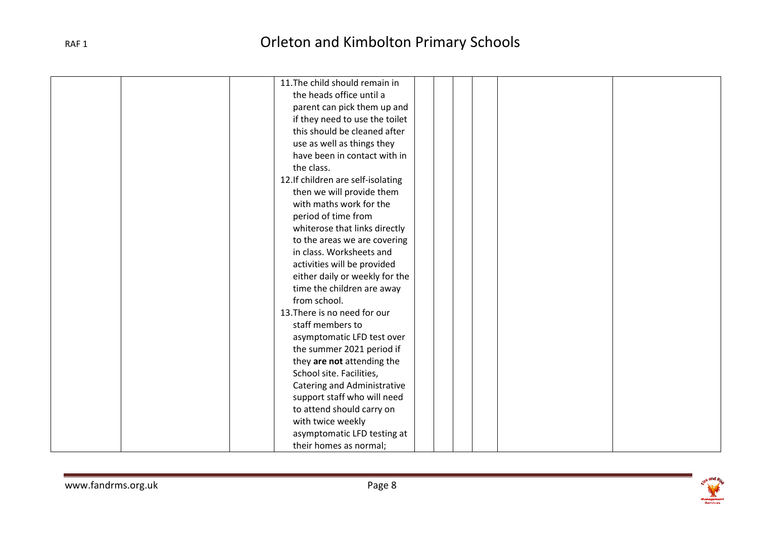| 11. The child should remain in     |  |  |  |
|------------------------------------|--|--|--|
| the heads office until a           |  |  |  |
| parent can pick them up and        |  |  |  |
| if they need to use the toilet     |  |  |  |
| this should be cleaned after       |  |  |  |
| use as well as things they         |  |  |  |
| have been in contact with in       |  |  |  |
| the class.                         |  |  |  |
| 12. If children are self-isolating |  |  |  |
| then we will provide them          |  |  |  |
| with maths work for the            |  |  |  |
| period of time from                |  |  |  |
| whiterose that links directly      |  |  |  |
| to the areas we are covering       |  |  |  |
| in class. Worksheets and           |  |  |  |
| activities will be provided        |  |  |  |
| either daily or weekly for the     |  |  |  |
| time the children are away         |  |  |  |
| from school.                       |  |  |  |
| 13. There is no need for our       |  |  |  |
| staff members to                   |  |  |  |
| asymptomatic LFD test over         |  |  |  |
| the summer 2021 period if          |  |  |  |
| they are not attending the         |  |  |  |
| School site. Facilities,           |  |  |  |
| Catering and Administrative        |  |  |  |
| support staff who will need        |  |  |  |
| to attend should carry on          |  |  |  |
| with twice weekly                  |  |  |  |
| asymptomatic LFD testing at        |  |  |  |
| their homes as normal;             |  |  |  |

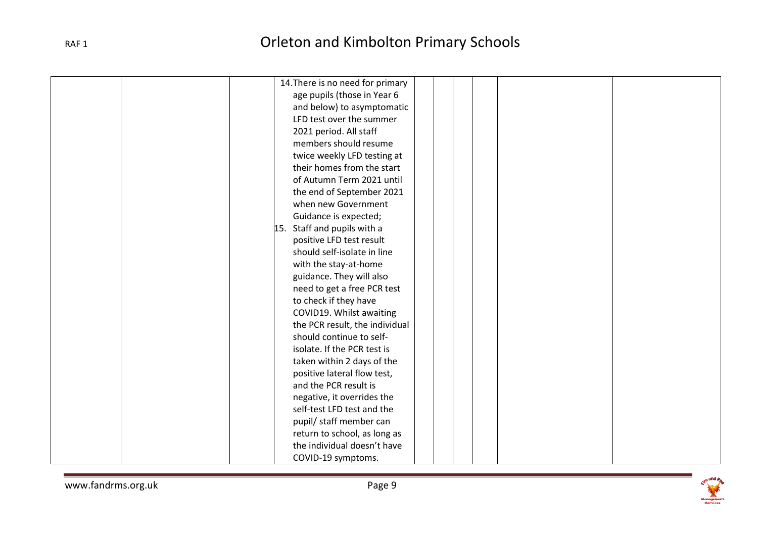| 14. There is no need for primary |
|----------------------------------|
| age pupils (those in Year 6      |
| and below) to asymptomatic       |
| LFD test over the summer         |
| 2021 period. All staff           |
| members should resume            |
| twice weekly LFD testing at      |
| their homes from the start       |
| of Autumn Term 2021 until        |
| the end of September 2021        |
| when new Government              |
| Guidance is expected;            |
| 15. Staff and pupils with a      |
| positive LFD test result         |
| should self-isolate in line      |
| with the stay-at-home            |
| guidance. They will also         |
| need to get a free PCR test      |
| to check if they have            |
| COVID19. Whilst awaiting         |
| the PCR result, the individual   |
| should continue to self-         |
| isolate. If the PCR test is      |
| taken within 2 days of the       |
| positive lateral flow test,      |
| and the PCR result is            |
| negative, it overrides the       |
| self-test LFD test and the       |
| pupil/ staff member can          |
| return to school, as long as     |
| the individual doesn't have      |
| COVID-19 symptoms.               |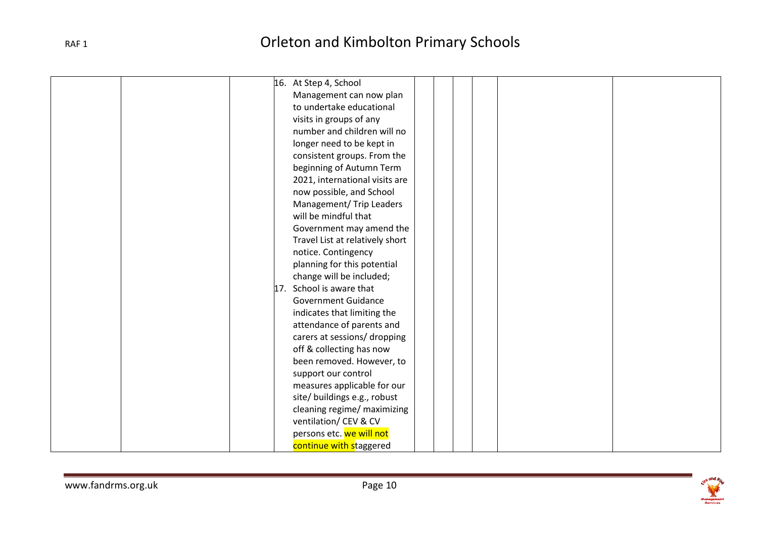| 16. At Step 4, School           |
|---------------------------------|
| Management can now plan         |
| to undertake educational        |
| visits in groups of any         |
| number and children will no     |
| longer need to be kept in       |
| consistent groups. From the     |
| beginning of Autumn Term        |
| 2021, international visits are  |
| now possible, and School        |
| Management/ Trip Leaders        |
| will be mindful that            |
| Government may amend the        |
| Travel List at relatively short |
| notice. Contingency             |
| planning for this potential     |
| change will be included;        |
| 17. School is aware that        |
| <b>Government Guidance</b>      |
| indicates that limiting the     |
| attendance of parents and       |
| carers at sessions/ dropping    |
| off & collecting has now        |
| been removed. However, to       |
| support our control             |
| measures applicable for our     |
| site/ buildings e.g., robust    |
| cleaning regime/ maximizing     |
| ventilation/ CEV & CV           |
| persons etc. we will not        |
| continue with staggered         |

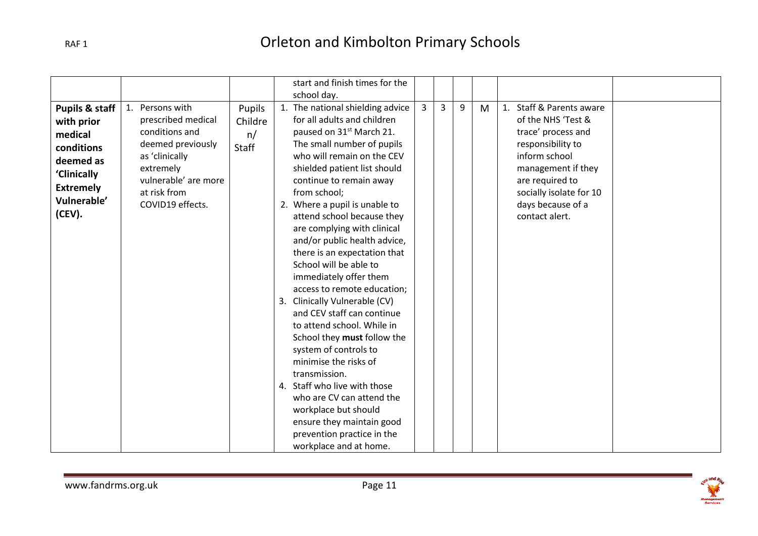|                                                                                                                                           |                                                                                                                                                                         |                                  | start and finish times for the<br>school day.                                                                                                                                                                                                                                                                                                                                                                                                                                                                                                                                                                                                                                                                                                                                                                                                                            |   |   |   |   |                                                                                                                                                                                                                       |  |
|-------------------------------------------------------------------------------------------------------------------------------------------|-------------------------------------------------------------------------------------------------------------------------------------------------------------------------|----------------------------------|--------------------------------------------------------------------------------------------------------------------------------------------------------------------------------------------------------------------------------------------------------------------------------------------------------------------------------------------------------------------------------------------------------------------------------------------------------------------------------------------------------------------------------------------------------------------------------------------------------------------------------------------------------------------------------------------------------------------------------------------------------------------------------------------------------------------------------------------------------------------------|---|---|---|---|-----------------------------------------------------------------------------------------------------------------------------------------------------------------------------------------------------------------------|--|
| <b>Pupils &amp; staff</b><br>with prior<br>medical<br>conditions<br>deemed as<br>'Clinically<br><b>Extremely</b><br>Vulnerable'<br>(CEV). | 1. Persons with<br>prescribed medical<br>conditions and<br>deemed previously<br>as 'clinically<br>extremely<br>vulnerable' are more<br>at risk from<br>COVID19 effects. | Pupils<br>Childre<br>n/<br>Staff | 1. The national shielding advice<br>for all adults and children<br>paused on 31 <sup>st</sup> March 21.<br>The small number of pupils<br>who will remain on the CEV<br>shielded patient list should<br>continue to remain away<br>from school;<br>2. Where a pupil is unable to<br>attend school because they<br>are complying with clinical<br>and/or public health advice,<br>there is an expectation that<br>School will be able to<br>immediately offer them<br>access to remote education;<br>3. Clinically Vulnerable (CV)<br>and CEV staff can continue<br>to attend school. While in<br>School they must follow the<br>system of controls to<br>minimise the risks of<br>transmission.<br>4. Staff who live with those<br>who are CV can attend the<br>workplace but should<br>ensure they maintain good<br>prevention practice in the<br>workplace and at home. | 3 | 3 | 9 | M | 1. Staff & Parents aware<br>of the NHS 'Test &<br>trace' process and<br>responsibility to<br>inform school<br>management if they<br>are required to<br>socially isolate for 10<br>days because of a<br>contact alert. |  |

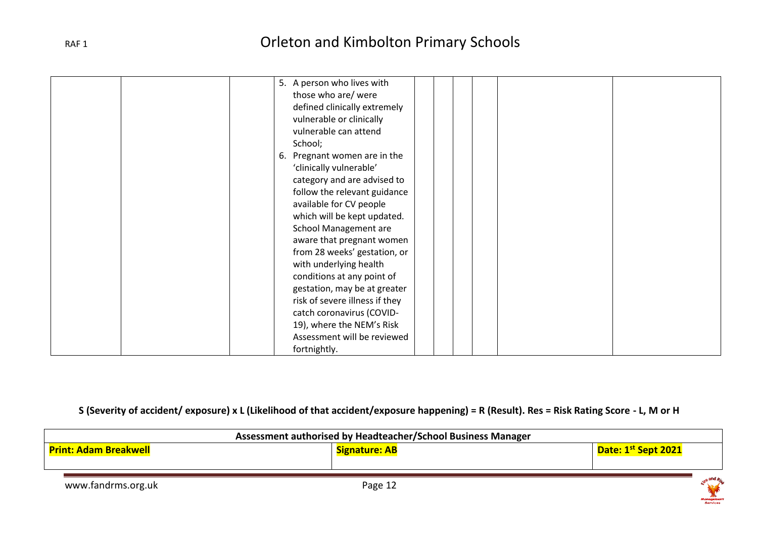| 5. A person who lives with     |
|--------------------------------|
| those who are/ were            |
| defined clinically extremely   |
| vulnerable or clinically       |
| vulnerable can attend          |
| School;                        |
| 6. Pregnant women are in the   |
| 'clinically vulnerable'        |
| category and are advised to    |
| follow the relevant guidance   |
| available for CV people        |
| which will be kept updated.    |
| <b>School Management are</b>   |
| aware that pregnant women      |
| from 28 weeks' gestation, or   |
| with underlying health         |
| conditions at any point of     |
| gestation, may be at greater   |
| risk of severe illness if they |
| catch coronavirus (COVID-      |
| 19), where the NEM's Risk      |
| Assessment will be reviewed    |
| fortnightly.                   |

#### **S (Severity of accident/ exposure) x L (Likelihood of that accident/exposure happening) = R (Result). Res = Risk Rating Score - L, M or H**

| Assessment authorised by Headteacher/School Business Manager |                      |                                           |  |  |  |  |
|--------------------------------------------------------------|----------------------|-------------------------------------------|--|--|--|--|
| <b>Print: Adam Breakwell</b>                                 | <b>Signature: AB</b> | Date: 1 <sup>st</sup> Sept 2021           |  |  |  |  |
|                                                              |                      |                                           |  |  |  |  |
| www.fandrms.org.uk                                           | Page 12              | $x^{e}$ and $R$<br>Management<br>Services |  |  |  |  |